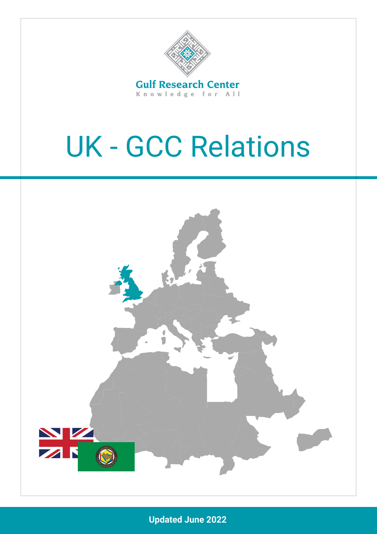

# UK - GCC Relations



**Updated June 2022**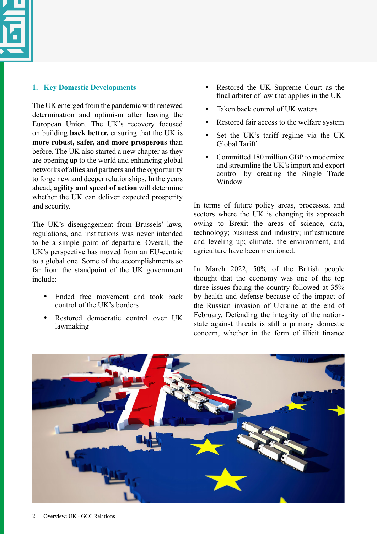

#### **1. Key Domestic Developments**

The UK emerged from the pandemic with renewed determination and optimism after leaving the European Union. The UK's recovery focused on building **back better,** ensuring that the UK is **more robust, safer, and more prosperous** than before. The UK also started a new chapter as they are opening up to the world and enhancing global networks of allies and partners and the opportunity to forge new and deeper relationships. In the years ahead, **agility and speed of action** will determine whether the UK can deliver expected prosperity and security.

The UK's disengagement from Brussels' laws, regulations, and institutions was never intended to be a simple point of departure. Overall, the UK's perspective has moved from an EU-centric to a global one. Some of the accomplishments so far from the standpoint of the UK government include:

- Ended free movement and took back control of the UK's borders
- Restored democratic control over UK lawmaking
- Restored the UK Supreme Court as the final arbiter of law that applies in the UK
- Taken back control of UK waters
- Restored fair access to the welfare system
- Set the UK's tariff regime via the UK Global Tariff
- Committed 180 million GBP to modernize and streamline the UK's import and export control by creating the Single Trade Window

In terms of future policy areas, processes, and sectors where the UK is changing its approach owing to Brexit the areas of science, data, technology; business and industry; infrastructure and leveling up; climate, the environment, and agriculture have been mentioned.

In March 2022, 50% of the British people thought that the economy was one of the top three issues facing the country followed at 35% by health and defense because of the impact of the Russian invasion of Ukraine at the end of February. Defending the integrity of the nationstate against threats is still a primary domestic concern, whether in the form of illicit finance

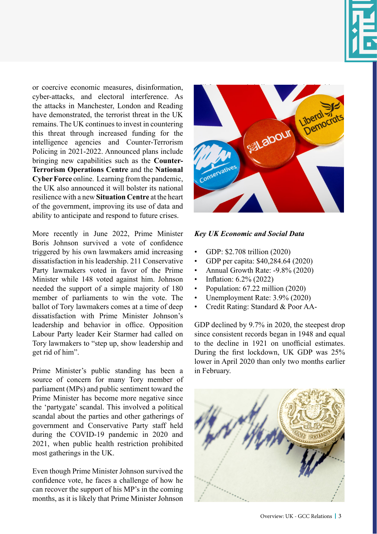

or coercive economic measures, disinformation, cyber-attacks, and electoral interference. As the attacks in Manchester, London and Reading have demonstrated, the terrorist threat in the UK remains. The UK continues to invest in countering this threat through increased funding for the intelligence agencies and Counter-Terrorism Policing in 2021-2022. Announced plans include bringing new capabilities such as the **Counter-Terrorism Operations Centre** and the **National Cyber Force** online.Learning from the pandemic, the UK also announced it will bolster its national resilience with a new **Situation Centre** at the heart of the government, improving its use of data and ability to anticipate and respond to future crises.

More recently in June 2022, Prime Minister Boris Johnson survived a vote of confidence triggered by his own lawmakers amid increasing dissatisfaction in his leadership. 211 Conservative Party lawmakers voted in favor of the Prime Minister while 148 voted against him. Johnson needed the support of a simple majority of 180 member of parliaments to win the vote. The ballot of Tory lawmakers comes at a time of deep dissatisfaction with Prime Minister Johnson's leadership and behavior in office. Opposition Labour Party leader Keir Starmer had called on Tory lawmakers to "step up, show leadership and get rid of him".

Prime Minister's public standing has been a source of concern for many Tory member of parliament (MPs) and public sentiment toward the Prime Minister has become more negative since the 'partygate' scandal. This involved a political scandal about the parties and other gatherings of government and Conservative Party staff held during the COVID-19 pandemic in 2020 and 2021, when public health restriction prohibited most gatherings in the UK.

Even though Prime Minister Johnson survived the confidence vote, he faces a challenge of how he can recover the support of his MP's in the coming months, as it is likely that Prime Minister Johnson



# *Key UK Economic and Social Data*

- GDP: \$2.708 trillion (2020)
- GDP per capita: \$40,284.64 (2020)
- Annual Growth Rate: -9.8% (2020)
- Inflation: 6.2% (2022)
- Population: 67.22 million (2020)
- Unemployment Rate: 3.9% (2020)
- Credit Rating: Standard & Poor AA-

GDP declined by 9.7% in 2020, the steepest drop since consistent records began in 1948 and equal to the decline in 1921 on unofficial estimates. During the first lockdown, UK GDP was 25% lower in April 2020 than only two months earlier in February.

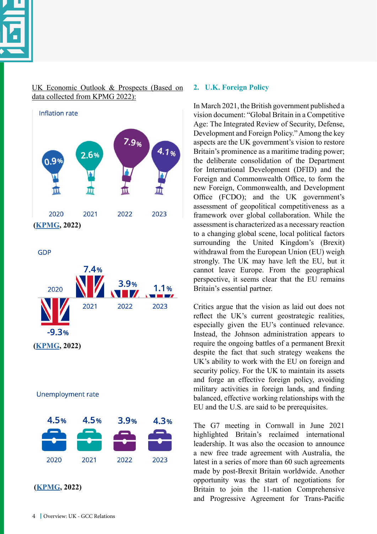

UK Economic Outlook & Prospects (Based on data collected from KPMG 2022):



**GDP** 



**Unemployment rate** 



#### **2. U.K. Foreign Policy**

In March 2021, the British government published a vision document: "Global Britain in a Competitive Age: The Integrated Review of Security, Defense, Development and Foreign Policy." Among the key aspects are the UK government's vision to restore Britain's prominence as a maritime trading power; the deliberate consolidation of the Department for International Development (DFID) and the Foreign and Commonwealth Office, to form the new Foreign, Commonwealth, and Development Office (FCDO); and the UK government's assessment of geopolitical competitiveness as a framework over global collaboration. While the assessment is characterized as a necessary reaction to a changing global scene, local political factors surrounding the United Kingdom's (Brexit) withdrawal from the European Union (EU) weigh strongly. The UK may have left the EU, but it cannot leave Europe. From the geographical perspective, it seems clear that the EU remains Britain's essential partner.

Critics argue that the vision as laid out does not reflect the UK's current geostrategic realities, especially given the EU's continued relevance. Instead, the Johnson administration appears to require the ongoing battles of a permanent Brexit despite the fact that such strategy weakens the UK's ability to work with the EU on foreign and security policy. For the UK to maintain its assets and forge an effective foreign policy, avoiding military activities in foreign lands, and finding balanced, effective working relationships with the EU and the U.S. are said to be prerequisites.

The G7 meeting in Cornwall in June 2021 highlighted Britain's reclaimed international leadership. It was also the occasion to announce a new free trade agreement with Australia, the latest in a series of more than 60 such agreements made by post-Brexit Britain worldwide. Another opportunity was the start of negotiations for Britain to join the 11-nation Comprehensive and Progressive Agreement for Trans-Pacific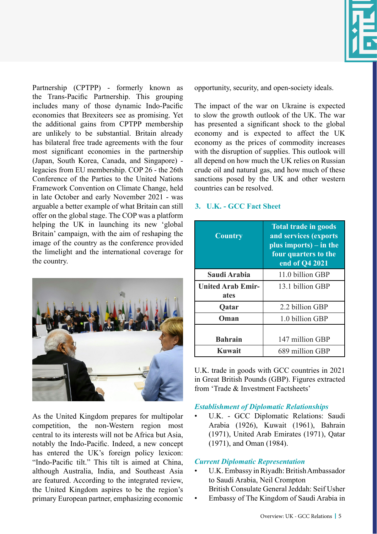

Partnership (CPTPP) - formerly known as the Trans-Pacific Partnership. This grouping includes many of those dynamic Indo-Pacific economies that Brexiteers see as promising. Yet the additional gains from CPTPP membership are unlikely to be substantial. Britain already has bilateral free trade agreements with the four most significant economies in the partnership (Japan, South Korea, Canada, and Singapore) legacies from EU membership. COP 26 - the 26th Conference of the Parties to the United Nations Framework Convention on Climate Change, held in late October and early November 2021 - was arguable a better example of what Britain can still offer on the global stage. The COP was a platform helping the UK in launching its new 'global Britain' campaign, with the aim of reshaping the image of the country as the conference provided the limelight and the international coverage for the country.



As the United Kingdom prepares for multipolar competition, the non-Western region most central to its interests will not be Africa but Asia, notably the Indo-Pacific. Indeed, a new concept has entered the UK's foreign policy lexicon: "Indo-Pacific tilt." This tilt is aimed at China, although Australia, India, and Southeast Asia are featured. According to the integrated review, the United Kingdom aspires to be the region's primary European partner, emphasizing economic opportunity, security, and open-society ideals.

The impact of the war on Ukraine is expected to slow the growth outlook of the UK. The war has presented a significant shock to the global economy and is expected to affect the UK economy as the prices of commodity increases with the disruption of supplies. This outlook will all depend on how much the UK relies on Russian crude oil and natural gas, and how much of these sanctions posed by the UK and other western countries can be resolved.

## **3. U.K. - GCC Fact Sheet**

| <b>Country</b>                   | <b>Total trade in goods</b><br>and services (exports<br>plus imports) – in the<br>four quarters to the<br>end of Q4 2021 |
|----------------------------------|--------------------------------------------------------------------------------------------------------------------------|
| Saudi Arabia                     | 11.0 billion GBP                                                                                                         |
| <b>United Arab Emir-</b><br>ates | 13.1 billion GBP                                                                                                         |
| Qatar                            | 2.2 billion GBP                                                                                                          |
| Oman                             | 1.0 billion GBP                                                                                                          |
| <b>Bahrain</b>                   | 147 million GBP                                                                                                          |
| Kuwait                           | 689 million GBP                                                                                                          |

U.K. trade in goods with GCC countries in 2021 in Great British Pounds (GBP). Figures extracted from 'Trade & Investment Factsheets'

## *Establishment of Diplomatic Relationships*

• U.K. - GCC Diplomatic Relations: Saudi Arabia (1926), Kuwait (1961), Bahrain (1971), United Arab Emirates (1971), Qatar (1971), and Oman (1984).

#### *Current Diplomatic Representation*

- U.K. Embassy in Riyadh: British Ambassador to Saudi Arabia, Neil Crompton
- British Consulate General Jeddah: Seif Usher
- Embassy of The Kingdom of Saudi Arabia in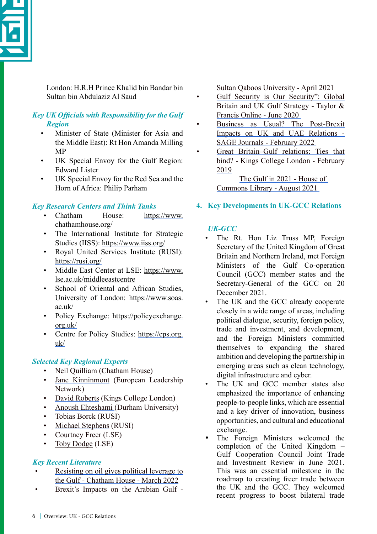

London: H.R.H Prince Khalid bin Bandar bin Sultan bin Abdulaziz Al Saud

# *Key UK Officials with Responsibility for the Gulf Region*

- Minister of State (Minister for Asia and the Middle East): Rt Hon Amanda Milling MP
- UK Special Envoy for the Gulf Region: Edward Lister
- UK Special Envoy for the Red Sea and the Horn of Africa: Philip Parham

# *Key Research Centers and Think Tanks*

- Chatham House: [https://www.](https://www.chathamhouse.org/) [chathamhouse.org/](https://www.chathamhouse.org/)
- The International Institute for Strategic Studies (IISS):<https://www.iiss.org/>
- Royal United Services Institute (RUSI): <https://rusi.org/>
- Middle East Center at LSE: [https://www.](https://www.lse.ac.uk/middleeastcentre) [lse.ac.uk/middleeastcentre](https://www.lse.ac.uk/middleeastcentre)
- School of Oriental and African Studies. University of London: https://www.soas. ac.uk/
- Policy Exchange: [https://policyexchange.](https://policyexchange.org.uk/) [org.uk/](https://policyexchange.org.uk/)
- Centre for Policy Studies: [https://cps.org.](https://cps.org.uk/) [uk/](https://cps.org.uk/)

# *Selected Key Regional Experts*

- [Neil Quilliam](https://www.chathamhouse.org/about-us/our-people/neil-quilliam) (Chatham House)
- [Jane Kinninmont](https://www.europeanleadershipnetwork.org/person/jane-kinninmont/) (European Leadership Network)
- [David Roberts](https://www.kcl.ac.uk/people/dr-david-b-roberts) (Kings College London)
- [Anoush Ehteshami \(](https://www.durham.ac.uk/staff/a-ehteshami/)Durham University)
- [Tobias Borck](https://rusi.org/people/borck) (RUSI)
- [Michael Stephens](https://rusi.org/people/stephens) (RUSI)
- [Courtney Freer](https://www.lse.ac.uk/middle-east-centre/people/courtney-freer) (LSE)
- [Toby Dodge](https://www.lse.ac.uk/international-relations/people/dodge) (LSE)

# *Key Recent Literature*

- [Resisting on oil gives political leverage to](https://www.chathamhouse.org/2022/03/resisting-oil-gives-political-leverage-gulf) [the Gulf - Chatham House - March 2022](https://www.chathamhouse.org/2022/03/resisting-oil-gives-political-leverage-gulf)
- [Brexit's Impacts on the Arabian Gulf -](https://www.researchgate.net/publication/350896064_Brexit%27s_Impacts_on_The_Arabian_Gulf)

[Sultan Qaboos University - April 2021](https://www.researchgate.net/publication/350896064_Brexit%27s_Impacts_on_The_Arabian_Gulf) 

- [Gulf Security is Our Security": Global](https://www.tandfonline.com/doi/full/10.1080/14702436.2021.1874244) [Britain and UK Gulf Strategy - Taylor &](https://www.tandfonline.com/doi/full/10.1080/14702436.2021.1874244) [Francis Online - June 2020](https://www.tandfonline.com/doi/full/10.1080/14702436.2021.1874244)
- [Business as Usual? The Post-Brexit](https://journals.sagepub.com/doi/10.1177/23477989221080641) [Impacts on UK and UAE Relations -](https://journals.sagepub.com/doi/10.1177/23477989221080641) [SAGE Journals - February 2022](https://journals.sagepub.com/doi/10.1177/23477989221080641)
- [Great Britain–Gulf relations: Ties that](https://kclpure.kcl.ac.uk/portal/en/publications/great-britaingulf-relations-ties-that-bind(b7473ac7-1d55-40d6-b189-20a022b47cd9).html) [bind? - Kings College London - February](https://kclpure.kcl.ac.uk/portal/en/publications/great-britaingulf-relations-ties-that-bind(b7473ac7-1d55-40d6-b189-20a022b47cd9).html) [2019](https://kclpure.kcl.ac.uk/portal/en/publications/great-britaingulf-relations-ties-that-bind(b7473ac7-1d55-40d6-b189-20a022b47cd9).html)

[The Gulf in 2021 - House of](https://commonslibrary.parliament.uk/research-briefings/cbp-9284/)  [Commons Library - August 2021](https://commonslibrary.parliament.uk/research-briefings/cbp-9284/) 

# **4. Key Developments in UK-GCC Relations**

# *UK-GCC*

- The Rt. Hon Liz Truss MP, Foreign Secretary of the United Kingdom of Great Britain and Northern Ireland, met Foreign Ministers of the Gulf Co-operation Council (GCC) member states and the Secretary-General of the GCC on 20 December 2021.
- The UK and the GCC already cooperate closely in a wide range of areas, including political dialogue, security, foreign policy, trade and investment, and development, and the Foreign Ministers committed themselves to expanding the shared ambition and developing the partnership in emerging areas such as clean technology, digital infrastructure and cyber.
- The UK and GCC member states also emphasized the importance of enhancing people-to-people links, which are essential and a key driver of innovation, business opportunities, and cultural and educational exchange.
- The Foreign Ministers welcomed the completion of the United Kingdom – Gulf Cooperation Council Joint Trade and Investment Review in June 2021. This was an essential milestone in the roadmap to creating freer trade between the UK and the GCC. They welcomed recent progress to boost bilateral trade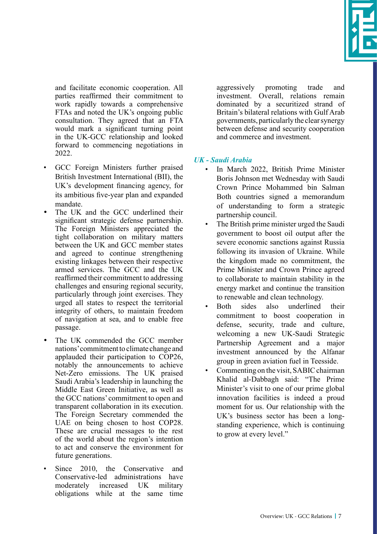

and facilitate economic cooperation. All parties reaffirmed their commitment to work rapidly towards a comprehensive FTAs and noted the UK's ongoing public consultation. They agreed that an FTA would mark a significant turning point in the UK-GCC relationship and looked forward to commencing negotiations in 2022.

- GCC Foreign Ministers further praised British Investment International (BII), the UK's development financing agency, for its ambitious five-year plan and expanded mandate.
- The UK and the GCC underlined their significant strategic defense partnership. The Foreign Ministers appreciated the tight collaboration on military matters between the UK and GCC member states and agreed to continue strengthening existing linkages between their respective armed services. The GCC and the UK reaffirmed their commitment to addressing challenges and ensuring regional security, particularly through joint exercises. They urged all states to respect the territorial integrity of others, to maintain freedom of navigation at sea, and to enable free passage.
- The UK commended the GCC member nations' commitment to climate change and applauded their participation to COP26, notably the announcements to achieve Net-Zero emissions. The UK praised Saudi Arabia's leadership in launching the Middle East Green Initiative, as well as the GCC nations' commitment to open and transparent collaboration in its execution. The Foreign Secretary commended the UAE on being chosen to host COP28. These are crucial messages to the rest of the world about the region's intention to act and conserve the environment for future generations.
- Since 2010, the Conservative and Conservative-led administrations have moderately increased UK military obligations while at the same time

aggressively promoting trade and investment. Overall, relations remain dominated by a securitized strand of Britain's bilateral relations with Gulf Arab governments, particularly the clear synergy between defense and security cooperation and commerce and investment.

# *UK - Saudi Arabia*

- In March 2022, British Prime Minister Boris Johnson met Wednesday with Saudi Crown Prince Mohammed bin Salman Both countries signed a memorandum of understanding to form a strategic partnership council.
- The British prime minister urged the Saudi government to boost oil output after the severe economic sanctions against Russia following its invasion of Ukraine. While the kingdom made no commitment, the Prime Minister and Crown Prince agreed to collaborate to maintain stability in the energy market and continue the transition to renewable and clean technology.
- Both sides also underlined their commitment to boost cooperation in defense, security, trade and culture, welcoming a new UK-Saudi Strategic Partnership Agreement and a major investment announced by the Alfanar group in green aviation fuel in Teesside.
- Commenting on the visit, SABIC chairman Khalid al-Dabbagh said: "The Prime Minister's visit to one of our prime global innovation facilities is indeed a proud moment for us. Our relationship with the UK's business sector has been a longstanding experience, which is continuing to grow at every level."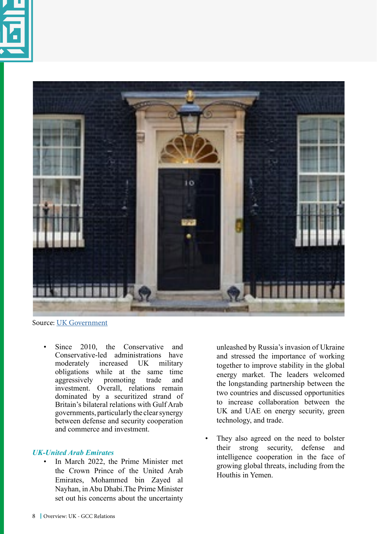



Source: [UK Government](https://www.gov.uk/government/news/pm-meeting-with-the-crown-prince-of-the-kingdom-of-saudi-arabia-mohammed-bin-salman-16-march-2022)

Since 2010, the Conservative and Conservative-led administrations have<br>moderately increased UK military moderately increased UK military obligations while at the same time aggressively promoting trade and investment. Overall, relations remain dominated by a securitized strand of Britain's bilateral relations with Gulf Arab governments, particularly the clear synergy between defense and security cooperation and commerce and investment.

#### *UK-United Arab Emirates*

• In March 2022, the Prime Minister met the Crown Prince of the United Arab Emirates, Mohammed bin Zayed al Nayhan, in Abu Dhabi.The Prime Minister set out his concerns about the uncertainty

unleashed by Russia's invasion of Ukraine and stressed the importance of working together to improve stability in the global energy market. The leaders welcomed the longstanding partnership between the two countries and discussed opportunities to increase collaboration between the UK and UAE on energy security, green technology, and trade.

They also agreed on the need to bolster their strong security, defense and intelligence cooperation in the face of growing global threats, including from the Houthis in Yemen.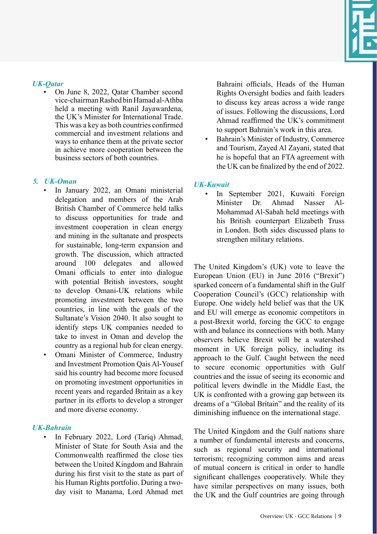

#### *UK-Qatar*

• On June 8, 2022, Qatar Chamber second vice-chairman Rashed bin Hamad al-Athba held a meeting with Ranil Jayawardena, the UK's Minister for International Trade. This was a key as both countries confirmed commercial and investment relations and ways to enhance them at the private sector in achieve more cooperation between the business sectors of both countries.

## *5. UK-Oman*

- In January 2022, an Omani ministerial delegation and members of the Arab British Chamber of Commerce held talks to discuss opportunities for trade and investment cooperation in clean energy and mining in the sultanate and prospects for sustainable, long-term expansion and growth. The discussion, which attracted around 100 delegates and allowed Omani officials to enter into dialogue with potential British investors, sought to develop Omani-UK relations while promoting investment between the two countries, in line with the goals of the Sultanate's Vision 2040. It also sought to identify steps UK companies needed to take to invest in Oman and develop the country as a regional hub for clean energy.
- Omani Minister of Commerce, Industry and Investment Promotion Qais Al-Yousef said his country had become more focused on promoting investment opportunities in recent years and regarded Britain as a key partner in its efforts to develop a stronger and more diverse economy.

## *UK-Bahrain*

• In February 2022, Lord (Tariq) Ahmad, Minister of State for South Asia and the Commonwealth reaffirmed the close ties between the United Kingdom and Bahrain during his first visit to the state as part of his Human Rights portfolio. During a twoday visit to Manama, Lord Ahmad met Bahraini officials, Heads of the Human Rights Oversight bodies and faith leaders to discuss key areas across a wide range of issues. Following the discussions, Lord Ahmad reaffirmed the UK's commitment to support Bahrain's work in this area.

• Bahrain's Minister of Industry, Commerce and Tourism, Zayed Al Zayani, stated that he is hopeful that an FTA agreement with the UK can be finalized by the end of 2022.

# *UK-Kuwait*

• In September 2021, Kuwaiti Foreign Minister Dr. Ahmad Nasser Al-Mohammad Al-Sabah held meetings with his British counterpart Elizabeth Truss in London. Both sides discussed plans to strengthen military relations.

The United Kingdom's (UK) vote to leave the European Union (EU) in June 2016 ("Brexit") sparked concern of a fundamental shift in the Gulf Cooperation Council's (GCC) relationship with Europe. One widely held belief was that the UK and EU will emerge as economic competitors in a post-Brexit world, forcing the GCC to engage with and balance its connections with both. Many observers believe Brexit will be a watershed moment in UK foreign policy, including its approach to the Gulf. Caught between the need to secure economic opportunities with Gulf countries and the issue of seeing its economic and political levers dwindle in the Middle East, the UK is confronted with a growing gap between its dreams of a "Global Britain" and the reality of its diminishing influence on the international stage.

The United Kingdom and the Gulf nations share a number of fundamental interests and concerns, such as regional security and international terrorism; recognizing common aims and areas of mutual concern is critical in order to handle significant challenges cooperatively. While they have similar perspectives on many issues, both the UK and the Gulf countries are going through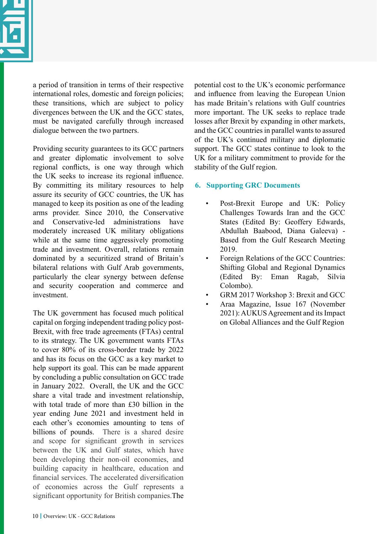

a period of transition in terms of their respective international roles, domestic and foreign policies; these transitions, which are subject to policy divergences between the UK and the GCC states, must be navigated carefully through increased dialogue between the two partners.

Providing security guarantees to its GCC partners and greater diplomatic involvement to solve regional conflicts, is one way through which the UK seeks to increase its regional influence. By committing its military resources to help assure its security of GCC countries, the UK has managed to keep its position as one of the leading arms provider. Since 2010, the Conservative and Conservative-led administrations have moderately increased UK military obligations while at the same time aggressively promoting trade and investment. Overall, relations remain dominated by a securitized strand of Britain's bilateral relations with Gulf Arab governments, particularly the clear synergy between defense and security cooperation and commerce and investment.

The UK government has focused much political capital on forging independent trading policy post-Brexit, with free trade agreements (FTAs) central to its strategy. The UK government wants FTAs to cover 80% of its cross-border trade by 2022 and has its focus on the GCC as a key market to help support its goal. This can be made apparent by concluding a public consultation on GCC trade in January 2022. Overall, the UK and the GCC share a vital trade and investment relationship, with total trade of more than £30 billion in the year ending June 2021 and investment held in each other's economies amounting to tens of billions of pounds. There is a shared desire and scope for significant growth in services between the UK and Gulf states, which have been developing their non-oil economies, and building capacity in healthcare, education and financial services. The accelerated diversification of economies across the Gulf represents a significant opportunity for British companies.The

potential cost to the UK's economic performance and influence from leaving the European Union has made Britain's relations with Gulf countries more important. The UK seeks to replace trade losses after Brexit by expanding in other markets, and the GCC countries in parallel wants to assured of the UK's continued military and diplomatic support. The GCC states continue to look to the UK for a military commitment to provide for the stability of the Gulf region.

# **6. Supporting GRC Documents**

- Post-Brexit Europe and UK: Policy Challenges Towards Iran and the GCC States (Edited By: Geoffery Edwards, Abdullah Baabood, Diana Galeeva) - Based from the Gulf Research Meeting 2019.
- Foreign Relations of the GCC Countries: Shifting Global and Regional Dynamics (Edited By: Eman Ragab, Silvia Colombo).
- GRM 2017 Workshop 3: Brexit and GCC
- Araa Magazine, Issue 167 (November 2021): AUKUS Agreement and its Impact on Global Alliances and the Gulf Region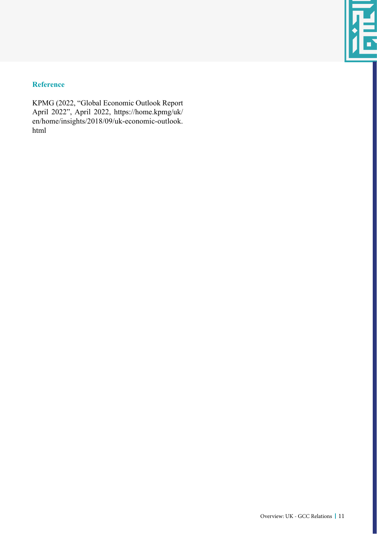# **Reference**

KPMG (2022, "Global Economic Outlook Report April 2022", April 2022, https://home.kpmg/uk/ en/home/insights/2018/09/uk-economic-outlook. html

 $\blacksquare$